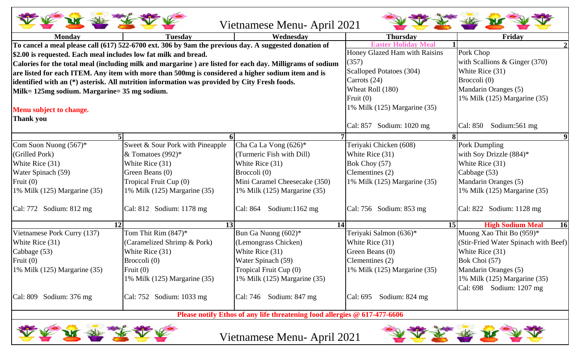| Vietnamese Menu- April 2021                                                                       |                                                                                                          |                                   |                                 |                                      |  |  |  |
|---------------------------------------------------------------------------------------------------|----------------------------------------------------------------------------------------------------------|-----------------------------------|---------------------------------|--------------------------------------|--|--|--|
| <b>Monday</b>                                                                                     | <b>Tuesday</b>                                                                                           | Wednesday                         | <b>Thursday</b>                 | Friday                               |  |  |  |
|                                                                                                   | To cancel a meal please call (617) 522-6700 ext. 306 by 9am the previous day. A suggested donation of    |                                   | <b>Easter Holiday Mea</b>       |                                      |  |  |  |
| \$2.00 is requested. Each meal includes low fat milk and bread.                                   |                                                                                                          | Honey Glazed Ham with Raisins     | Pork Chop                       |                                      |  |  |  |
|                                                                                                   | Calories for the total meal (including milk and margarine) are listed for each day. Milligrams of sodium | (357)                             | with Scallions & Ginger $(370)$ |                                      |  |  |  |
| are listed for each ITEM. Any item with more than 500mg is considered a higher sodium item and is |                                                                                                          |                                   | Scalloped Potatoes (304)        | White Rice (31)                      |  |  |  |
|                                                                                                   | identified with an (*) asterisk. All nutrition information was provided by City Fresh foods.             | Carrots $(24)$                    | Broccoli (0)                    |                                      |  |  |  |
| Milk= 125mg sodium. Margarine= 35 mg sodium.                                                      |                                                                                                          | Wheat Roll (180)                  | Mandarin Oranges (5)            |                                      |  |  |  |
|                                                                                                   |                                                                                                          |                                   | Fruit $(0)$                     | 1% Milk (125) Margarine (35)         |  |  |  |
| Menu subject to change.                                                                           |                                                                                                          | 1% Milk (125) Margarine (35)      |                                 |                                      |  |  |  |
| <b>Thank you</b>                                                                                  |                                                                                                          |                                   |                                 |                                      |  |  |  |
|                                                                                                   |                                                                                                          |                                   | Cal: 857 Sodium: 1020 mg        | Sodium:561 mg<br>Cal: 850            |  |  |  |
|                                                                                                   | 5 <sup>1</sup><br>6                                                                                      |                                   |                                 |                                      |  |  |  |
| Com Suon Nuong $(567)^*$                                                                          | Sweet & Sour Pork with Pineapple                                                                         | Cha Ca La Vong $(626)^*$          | Teriyaki Chicken (608)          | Pork Dumpling                        |  |  |  |
| (Grilled Pork)                                                                                    | & Tomatoes (992)*                                                                                        | (Turmeric Fish with Dill)         | White Rice (31)                 | with Soy Drizzle (884)*              |  |  |  |
| White Rice (31)                                                                                   | White Rice (31)                                                                                          | White Rice (31)                   | Bok Choy (57)                   | White Rice (31)                      |  |  |  |
| Water Spinach (59)                                                                                | Green Beans (0)                                                                                          | Broccoli (0)                      | Clementines (2)                 | Cabbage (53)                         |  |  |  |
| Fruit $(0)$                                                                                       | Tropical Fruit Cup (0)                                                                                   | Mini Caramel Cheesecake (350)     | 1% Milk (125) Margarine (35)    | Mandarin Oranges (5)                 |  |  |  |
| 1% Milk $(125)$ Margarine $(35)$                                                                  | 1% Milk (125) Margarine (35)                                                                             | 1% Milk (125) Margarine (35)      |                                 | 1% Milk (125) Margarine (35)         |  |  |  |
| $\vert$ Cal: 772 Sodium: 812 mg                                                                   | $ Cal: 812$ Sodium: 1178 mg                                                                              | Sodium: $1162$ mg<br>Cal: 864     | Cal: $756$ Sodium: $853$ mg     | Cal: 822 Sodium: 1128 mg             |  |  |  |
|                                                                                                   | 12<br>13                                                                                                 |                                   | 14                              | <b>High Sodium Meal</b><br>16<br>15  |  |  |  |
| Vietnamese Pork Curry (137)                                                                       | Tom Thit Rim $(847)^*$                                                                                   | Bun Ga Nuong (602)*               | Teriyaki Salmon (636)*          | Muong Xao Thit Bo (959)*             |  |  |  |
| White Rice (31)                                                                                   | (Caramelized Shrimp & Pork)                                                                              | (Lemongrass Chicken)              | White Rice (31)                 | (Stir-Fried Water Spinach with Beef) |  |  |  |
| Cabbage (53)                                                                                      | White Rice (31)                                                                                          | White Rice (31)                   | Green Beans (0)                 | White Rice (31)                      |  |  |  |
| Fruit $(0)$                                                                                       | Broccoli (0)                                                                                             | Water Spinach (59)                | Clementines (2)                 | Bok Choi (57)                        |  |  |  |
| 1% Milk (125) Margarine (35)                                                                      | Fruit $(0)$                                                                                              | Tropical Fruit Cup (0)            | 1% Milk (125) Margarine (35)    | Mandarin Oranges (5)                 |  |  |  |
|                                                                                                   | 1% Milk (125) Margarine (35)                                                                             | 1% Milk (125) Margarine (35)      |                                 | 1% Milk (125) Margarine (35)         |  |  |  |
|                                                                                                   |                                                                                                          |                                   |                                 | Cal: 698 Sodium: 1207 mg             |  |  |  |
| Cal: 809 Sodium: 376 mg                                                                           | $\vert$ Cal: 752 Sodium: 1033 mg                                                                         | $\text{Cal: } 746$ Sodium: 847 mg | Cal: $695$ Sodium: $824$ mg     |                                      |  |  |  |
|                                                                                                   |                                                                                                          |                                   |                                 |                                      |  |  |  |

**Please notify Ethos of any life threatening food allergies @ 617-477-6606** 



Vietnamese Menu- April 2021